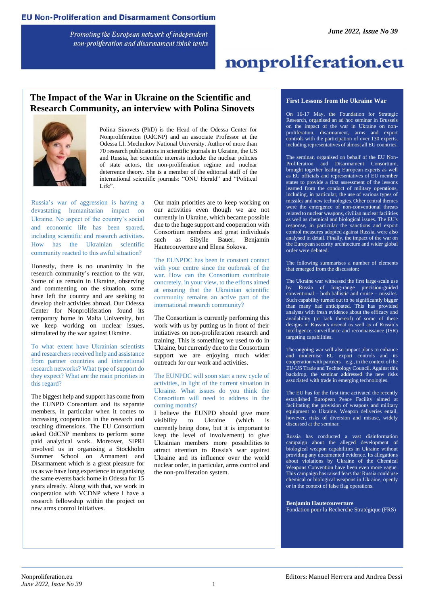Promoting the European network of independent non-proliferation and disarmament think tanks

# nonproliferation.eu

### **The Impact of the War in Ukraine on the Scientific and Research Community, an interview with Polina Sinovets**



Polina Sinovets (PhD) is the Head of the Odessa Center for Nonproliferation (OdCNP) and an associate Professor at the Odessa I.I. Mechnikov National University. Author of more than 70 research publications in scientific journals in Ukraine, the US and Russia, her scientific interests include: the nuclear policies of state actors, the non-proliferation regime and nuclear deterrence theory. She is a member of the editorial staff of the international scientific journals: "ONU Herald" and "Political Life".

Russia's war of aggression is having a devastating humanitarian impact on Ukraine. No aspect of the country's social and economic life has been spared, including scientific and research activities. How has the Ukrainian scientific community reacted to this awful situation?

Honestly, there is no unanimity in the research community's reaction to the war. Some of us remain in Ukraine, observing and commenting on the situation, some have left the country and are seeking to develop their activities abroad. Our Odessa Center for Nonproliferation found its temporary home in Malta University, but we keep working on nuclear issues, stimulated by the war against Ukraine.

To what extent have Ukrainian scientists and researchers received help and assistance from partner countries and international research networks? What type of support do they expect? What are the main priorities in this regard?

The biggest help and support has come from the EUNPD Consortium and its separate members, in particular when it comes to increasing cooperation in the research and teaching dimensions. The EU Consortium asked OdCNP members to perform some paid analytical work. Moreover, SIPRI involved us in organising a Stockholm Summer School on Armament and Disarmament which is a great pleasure for us as we have long experience in organising the same events back home in Odessa for 15 years already. Along with that, we work in cooperation with VCDNP where I have a research fellowship within the project on new arms control initiatives.

Our main priorities are to keep working on our activities even though we are not currently in Ukraine, which became possible due to the huge support and cooperation with Consortium members and great individuals such as Sibylle Bauer, Benjamin Hautecouverture and Elena Sokova.

The EUNPDC has been in constant contact with your centre since the outbreak of the war. How can the Consortium contribute concretely, in your view, to the efforts aimed at ensuring that the Ukrainian scientific community remains an active part of the international research community?

The Consortium is currently performing this work with us by putting us in front of their initiatives on non-proliferation research and training. This is something we used to do in Ukraine, but currently due to the Consortium support we are enjoying much wider outreach for our work and activities.

The EUNPDC will soon start a new cycle of activities, in light of the current situation in Ukraine. What issues do you think the Consortium will need to address in the coming months?

I believe the EUNPD should give more visibility to Ukraine (which is currently being done, but it is important to keep the level of involvement) to give Ukrainian members more possibilities to attract attention to Russia's war against Ukraine and its influence over the world nuclear order, in particular, arms control and the non-proliferation system.

#### **First Lessons from the Ukraine War**

On 16-17 May, the Foundation for Strategic Research, organised an ad hoc seminar in Brussels on the impact of the war in Ukraine on nonproliferation, disarmament, arms and export controls with the participation of over 130 experts, including representatives of almost all EU countries.

The seminar, organised on behalf of the EU Non-Proliferation and Disarmament Consortium, brought together leading European experts as well as EU officials and representatives of EU member states to provide a first assessment of the lessons learned from the conduct of military operations, including, in particular, the use of various types of missiles and new technologies. Other central themes were the emergence of non-conventional threats related to nuclear weapons, civilian nuclear facilities as well as chemical and biological issues. The EU's response, in particular the sanctions and export control measures adopted against Russia, were also analysed in detail. Finally, the impact of the war on the European security architecture and wider global order were debated.

The following summarises a number of elements that emerged from the discussion:

The Ukraine war witnessed the first large-scale use by Russia of long-range precision-guided conventional – both ballistic and cruise – missiles. Such capability turned out to be significantly bigger than many had anticipated. This has provided analysts with fresh evidence about the efficacy and availability (or lack thereof) of some of these designs in Russia's arsenal as well as of Russia's intelligence, surveillance and reconnaissance (ISR) targeting capabilities.

The ongoing war will also impact plans to enhance and modernise EU export controls and its cooperation with partners – e.g., in the context of the EU-US Trade and Technology Council. Against this backdrop, the seminar addressed the new risks associated with trade in emerging technologies.

The EU has for the first time activated the recently established European Peace Facility aimed at facilitating the provision of weapons and military equipment to Ukraine. Weapon deliveries entail, however, risks of diversion and misuse, widely discussed at the seminar.

Russia has conducted a vast disinformation campaign about the alleged development of biological weapon capabilities in Ukraine without providing any documented evidence. Its allegations about violations by Ukraine of the Chemical Weapons Convention have been even more vague. This campaign has raised fears that Russia could use chemical or biological weapons in Ukraine, openly or in the context of false flag operations.

**Benjamin Hautecouverture** Fondation pour la Recherche Stratégique (FRS)